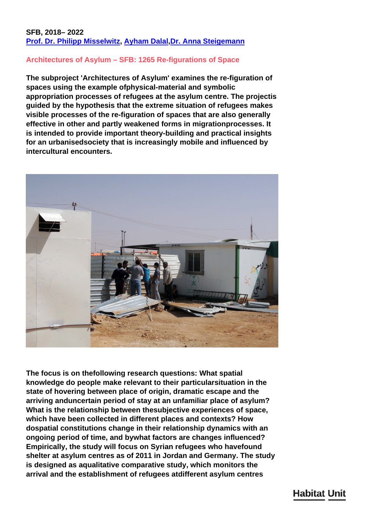### **SFB, 2018– 2022 [Prof. Dr. Philipp Misselwitz,](/en/team/philipp-misselwitz/) [Ayham Dalal,](/en/team/ayham-dalal/)[Dr. Anna Steigemann](/en/team/anna-steigemann/)**

### **Architectures of Asylum – SFB: 1265 Re-figurations of Space**

**The subproject 'Architectures of Asylum' examines the re-figuration of spaces using the example ofphysical-material and symbolic appropriation processes of refugees at the asylum centre. The projectis guided by the hypothesis that the extreme situation of refugees makes visible processes of the re-figuration of spaces that are also generally effective in other and partly weakened forms in migrationprocesses. It is intended to provide important theory-building and practical insights for an urbanisedsociety that is increasingly mobile and influenced by intercultural encounters.**



**The focus is on thefollowing research questions: What spatial knowledge do people make relevant to their particularsituation in the state of hovering between place of origin, dramatic escape and the arriving anduncertain period of stay at an unfamiliar place of asylum? What is the relationship between thesubjective experiences of space, which have been collected in different places and contexts? How dospatial constitutions change in their relationship dynamics with an ongoing period of time, and bywhat factors are changes influenced? Empirically, the study will focus on Syrian refugees who havefound shelter at asylum centres as of 2011 in Jordan and Germany. The study is designed as aqualitative comparative study, which monitors the arrival and the establishment of refugees atdifferent asylum centres**

# **Habitat Unit**